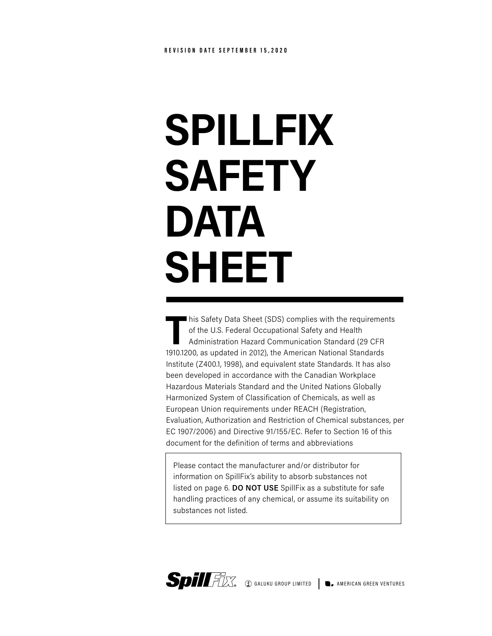# **SPILLFIX SAFETY DATA SHEET**

**T**his Safety Data Sheet (SDS) complies with the requirements of the U.S. Federal Occupational Safety and Health Administration Hazard Communication Standard (29 CFR 1910.1200, as updated in 2012), the American National Standards Institute (Z400.1, 1998), and equivalent state Standards. It has also been developed in accordance with the Canadian Workplace Hazardous Materials Standard and the United Nations Globally Harmonized System of Classification of Chemicals, as well as European Union requirements under REACH (Registration, Evaluation, Authorization and Restriction of Chemical substances, per EC 1907/2006) and Directive 91/155/EC. Refer to Section 16 of this document for the definition of terms and abbreviations

Please contact the manufacturer and/or distributor for information on SpillFix's ability to absorb substances not listed on page 6. **DO NOT USE** SpillFix as a substitute for safe handling practices of any chemical, or assume its suitability on substances not listed.

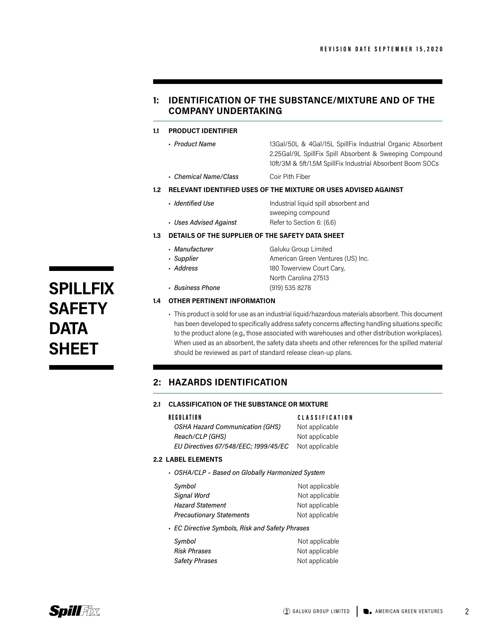# **1: IDENTIFICATION OF THE SUBSTANCE/MIXTURE AND OF THE COMPANY UNDERTAKING**

#### **1.1 PRODUCT IDENTIFIER**

*• Product Name* 13Gal/50L & 4Gal/15L SpillFix Industrial Organic Absorbent 2.25Gal/9L SpillFix Spill Absorbent & Sweeping Compound 10ft/3M & 5ft/1.5M SpillFix Industrial Absorbent Boom SOCs

*• Chemical Name/Class* Coir Pith Fiber

#### **1.2 RELEVANT IDENTIFIED USES OF THE MIXTURE OR USES ADVISED AGAINST**

- *Identified Use* **Industrial liquid spill absorbent and** sweeping compound
- *Uses Advised Against* Refer to Section 6: (6.6)

### **1.3 DETAILS OF THE SUPPLIER OF THE SAFETY DATA SHEET**

- 
- **Manufacturer** Galuku Group Limited • **Supplier by American Green Ventures (US) Inc.** *• Address* 180 Towerview Court Cary, North Carolina 27513
- *Business Phone* (919) 535 8278

#### **1.4 OTHER PERTINENT INFORMATION**

• This product is sold for use as an industrial liquid/hazardous materials absorbent. This document has been developed to specifically address safety concerns affecting handling situations specific to the product alone (e.g., those associated with warehouses and other distribution workplaces). When used as an absorbent, the safety data sheets and other references for the spilled material should be reviewed as part of standard release clean-up plans.

# **2: HAZARDS IDENTIFICATION**

#### **2.1 CLASSIFICATION OF THE SUBSTANCE OR MIXTURE**

| REGULATION                             | <b>CLASSIFICATION</b> |
|----------------------------------------|-----------------------|
| <b>OSHA Hazard Communication (GHS)</b> | Not applicable        |
| Reach/CLP (GHS)                        | Not applicable        |
| EU Directives 67/548/EEC; 1999/45/EC   | Not applicable        |
|                                        |                       |

#### **2.2 LABEL ELEMENTS**

*• OSHA/CLP – Based on Globally Harmonized System*

| Symbol                          | Not applicable |
|---------------------------------|----------------|
| Signal Word                     | Not applicable |
| <b>Hazard Statement</b>         | Not applicable |
| <b>Precautionary Statements</b> | Not applicable |
|                                 |                |

*• EC Directive Symbols, Risk and Safety Phrases*

| Symbol              | Not applicable |
|---------------------|----------------|
| <b>Risk Phrases</b> | Not applicable |
| Safety Phrases      | Not applicable |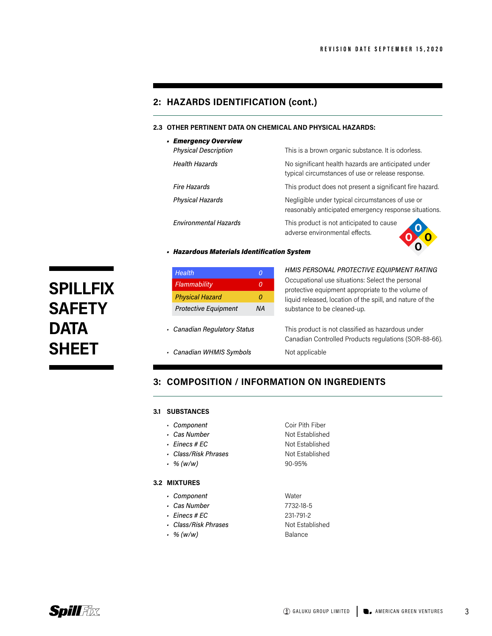o

# **2: HAZARDS IDENTIFICATION (cont.)**

#### **2.3 OTHER PERTINENT DATA ON CHEMICAL AND PHYSICAL HAZARDS:**

| - Emergency Overview         |                                                                                                           |
|------------------------------|-----------------------------------------------------------------------------------------------------------|
| <b>Physical Description</b>  | This is a brown organic substance. It is odorless.                                                        |
| <b>Health Hazards</b>        | No significant health hazards are anticipated under<br>typical circumstances of use or release response.  |
| <b>Fire Hazards</b>          | This product does not present a significant fire hazard.                                                  |
| <b>Physical Hazards</b>      | Negligible under typical circumstances of use or<br>reasonably anticipated emergency response situations. |
| <b>Environmental Hazards</b> | This product is not anticipated to cause<br>adverse environmental effects.                                |

#### *• Hazardous Materials Identification System*

| <b>Health</b>                | 0  |
|------------------------------|----|
| Flammability                 | 0  |
| <b>Physical Hazard</b>       | 0  |
| <b>Protective Equipment</b>  | NA |
|                              |    |
| • Canadian Regulatory Status |    |
| • Canadian WHMIS Symbols     |    |
|                              |    |

# **3: COMPOSITION / INFORMATION ON INGREDIENTS**

#### **3.1 SUBSTANCES**

- **Component Coir Pith Fiber**
- 
- 
- 
- 

#### **3.2 MIXTURES**

- *• Component* Water
- *• Cas Number* 7732-18-5
- *• Einecs # EC* 231-791-2
- Class/Risk Phrases Not Established
- *• % (w/w)* Balance
- **Cas Number** Not Established • *Einecs # EC* Not Established • *Class/Risk Phrases* Not Established *• % (w/w)* 90-95%



**SPILLFIX** 

**SAFETY** 

**DATA** 

**SHEET**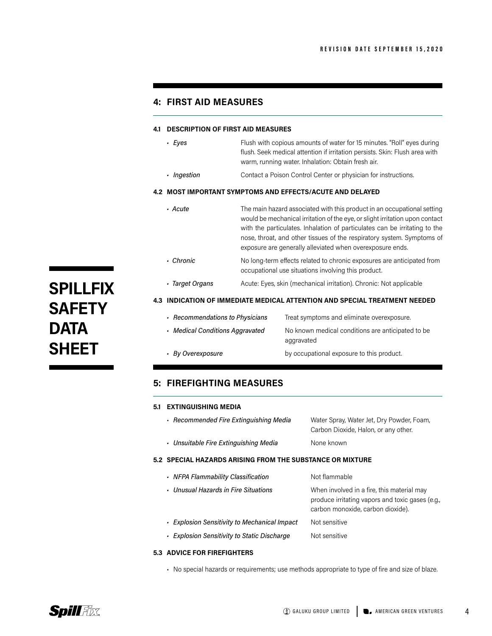# **4: FIRST AID MEASURES**

#### **4.1 DESCRIPTION OF FIRST AID MEASURES**

- **Eyes** Flush with copious amounts of water for 15 minutes. "Roll" eyes during flush. Seek medical attention if irritation persists. Skin: Flush area with warm, running water. Inhalation: Obtain fresh air.
- **•** *Ingestion* **Contact a Poison Control Center or physician for instructions.**

#### **4.2 MOST IMPORTANT SYMPTOMS AND EFFECTS/ACUTE AND DELAYED**

- *Acute* The main hazard associated with this product in an occupational setting would be mechanical irritation of the eye, or slight irritation upon contact with the particulates. Inhalation of particulates can be irritating to the nose, throat, and other tissues of the respiratory system. Symptoms of exposure are generally alleviated when overexposure ends. • Chronic No long-term effects related to chronic exposures are anticipated from occupational use situations involving this product.
- *Target Organs* Acute: Eyes, skin (mechanical irritation). Chronic: Not applicable

#### **4.3 INDICATION OF IMMEDIATE MEDICAL ATTENTION AND SPECIAL TREATMENT NEEDED**

| Recommendations to Physicians   | Treat symptoms and eliminate overexposure.                      |
|---------------------------------|-----------------------------------------------------------------|
| • Medical Conditions Aggravated | No known medical conditions are anticipated to be<br>aggravated |
| - By Overexposure               | by occupational exposure to this product.                       |

# **5: FIREFIGHTING MEASURES**

#### **5.1 EXTINGUISHING MEDIA**

| Recommended Fire Extinguishing Media                      | Water Spray, Water Jet, Dry Powder, Foam,<br>Carbon Dioxide, Halon, or any other.              |
|-----------------------------------------------------------|------------------------------------------------------------------------------------------------|
| • Unsuitable Fire Extinguishing Media                     | None known                                                                                     |
| 5.2 SPECIAL HAZARDS ARISING FROM THE SUBSTANCE OR MIXTURE |                                                                                                |
| • NFPA Flammability Classification                        | Not flammable                                                                                  |
| • Unusual Hazards in Fire Situations                      | When involved in a fire, this material may<br>produce irritating vapors and toxic gases (e.g., |

- *• Explosion Sensitivity to Mechanical Impact* Not sensitive
- *• Explosion Sensitivity to Static Discharge* Not sensitive

#### **5.3 ADVICE FOR FIREFIGHTERS**

• No special hazards or requirements; use methods appropriate to type of fire and size of blaze.

**SPILLFIX SAFETY DATA SHEET**

carbon monoxide, carbon dioxide).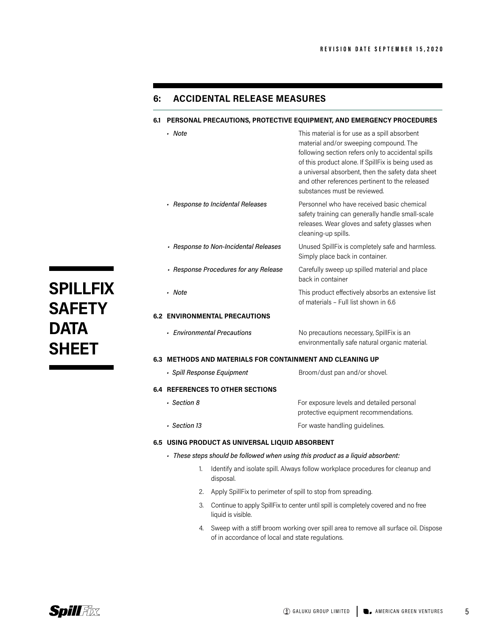# **6: ACCIDENTAL RELEASE MEASURES**

#### **6.1 PERSONAL PRECAUTIONS, PROTECTIVE EQUIPMENT, AND EMERGENCY PROCEDURES**

| - Note                                                                               | This material is for use as a spill absorbent<br>material and/or sweeping compound. The<br>following section refers only to accidental spills<br>of this product alone. If SpillFix is being used as<br>a universal absorbent, then the safety data sheet<br>and other references pertinent to the released<br>substances must be reviewed. |
|--------------------------------------------------------------------------------------|---------------------------------------------------------------------------------------------------------------------------------------------------------------------------------------------------------------------------------------------------------------------------------------------------------------------------------------------|
| · Response to Incidental Releases                                                    | Personnel who have received basic chemical<br>safety training can generally handle small-scale<br>releases. Wear gloves and safety glasses when<br>cleaning-up spills.                                                                                                                                                                      |
| - Response to Non-Incidental Releases                                                | Unused SpillFix is completely safe and harmless.<br>Simply place back in container.                                                                                                                                                                                                                                                         |
| - Response Procedures for any Release                                                | Carefully sweep up spilled material and place<br>back in container                                                                                                                                                                                                                                                                          |
| • Note                                                                               | This product effectively absorbs an extensive list<br>of materials - Full list shown in 6.6                                                                                                                                                                                                                                                 |
| <b>6.2 ENVIRONMENTAL PRECAUTIONS</b>                                                 |                                                                                                                                                                                                                                                                                                                                             |
| - Environmental Precautions                                                          | No precautions necessary, SpillFix is an<br>environmentally safe natural organic material.                                                                                                                                                                                                                                                  |
| 6.3 METHODS AND MATERIALS FOR CONTAINMENT AND CLEANING UP                            |                                                                                                                                                                                                                                                                                                                                             |
| · Spill Response Equipment                                                           | Broom/dust pan and/or shovel.                                                                                                                                                                                                                                                                                                               |
| <b>6.4 REFERENCES TO OTHER SECTIONS</b>                                              |                                                                                                                                                                                                                                                                                                                                             |
| · Section 8                                                                          | For exposure levels and detailed personal<br>protective equipment recommendations.                                                                                                                                                                                                                                                          |
| · Section 13                                                                         | For waste handling guidelines.                                                                                                                                                                                                                                                                                                              |
| 6.5 USING PRODUCT AS UNIVERSAL LIQUID ABSORBENT                                      |                                                                                                                                                                                                                                                                                                                                             |
| - These steps should be followed when using this product as a liquid absorbent:      |                                                                                                                                                                                                                                                                                                                                             |
| Identify and isolate spill. Always follow workplace procedures for cleanup and<br>1. |                                                                                                                                                                                                                                                                                                                                             |

- 2. Apply SpillFix to perimeter of spill to stop from spreading.
- 3. Continue to apply SpillFix to center until spill is completely covered and no free liquid is visible.
- 4. Sweep with a stiff broom working over spill area to remove all surface oil. Dispose of in accordance of local and state regulations.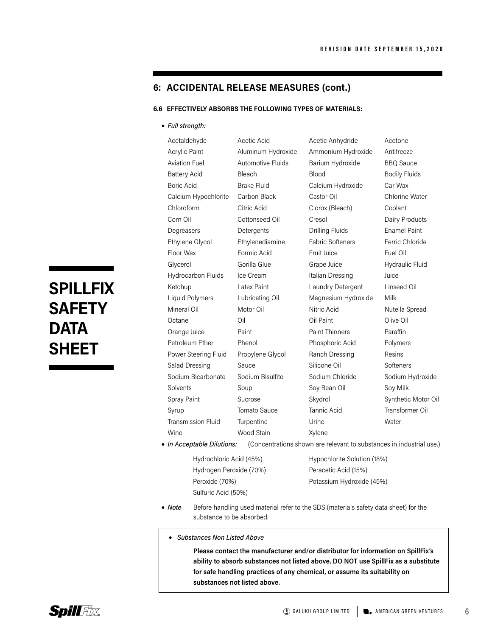# **6: ACCIDENTAL RELEASE MEASURES (cont.)**

#### **6.6 EFFECTIVELY ABSORBS THE FOLLOWING TYPES OF MATERIALS:**

#### • *Full strength:*

Acetaldehyde **Acetic Acid** Acetic Anhydride Acetone Acrylic Paint **Aluminum Hydroxide** Ammonium Hydroxide Antifreeze Aviation Fuel **Automotive Fluids** Barium Hydroxide BBQ Sauce Battery Acid Bleach Blood Bodily Fluids Boric Acid Brake Fluid Calcium Hydroxide Car Wax Calcium Hypochlorite Carbon Black Castor Oil Chlorine Water Chloroform Citric Acid Clorox (Bleach) Coolant Corn Oil Cottonseed Oil Cresol Dairy Products Degreasers Detergents Drilling Fluids Enamel Paint Ethylene Glycol Ethylenediamine Fabric Softeners Ferric Chloride Floor Wax Formic Acid Fruit Juice Fuel Oil Glycerol Gorilla Glue Grape Juice Hydraulic Fluid Hydrocarbon Fluids Ice Cream Italian Dressing Juice Ketchup Latex Paint Laundry Detergent Linseed Oil Liquid Polymers Lubricating Oil Magnesium Hydroxide Milk Mineral Oil Motor Oil Nitric Acid Nutella Spread Octane Oil Oil Paint Olive Oil Orange Juice **Paint Paint Paint Thinners** Paraffin Petroleum Ether Phenol Phosphoric Acid Polymers Power Steering Fluid Propylene Glycol Ranch Dressing Resins Salad Dressing Sauce Silicone Oil Softeners Sodium Bicarbonate Sodium Bisulfite Sodium Chloride Sodium Hydroxide Solvents Soup Soup Soy Bean Oil Soy Milk Spray Paint Sucrose Skydrol Skydrol Synthetic Motor Oil Syrup Tomato Sauce Tannic Acid Transformer Oil Transmission Fluid Turpentine Urine Urine Water Wine Wood Stain Xylene

• *In Acceptable Dilutions:* (Concentrations shown are relevant to substances in industrial use.)

| Hydrochloric Acid (45%) |
|-------------------------|
| Hydrogen Peroxide (70%) |
| Peroxide (70%)          |
| Sulfuric Acid (50%)     |

Ī

Hypochlorite Solution (18%) Peracetic Acid (15%) Potassium Hydroxide (45%)

- *Note* Before handling used material refer to the SDS (materials safety data sheet) for the substance to be absorbed.
	- *Substances Non Listed Above*

 **Please contact the manufacturer and/or distributor for information on SpillFix's ability to absorb substances not listed above. DO NOT use SpillFix as a substitute for safe handling practices of any chemical, or assume its suitability on substances not listed above.**

# **SPILLFIX SAFETY DATA SHEET**

6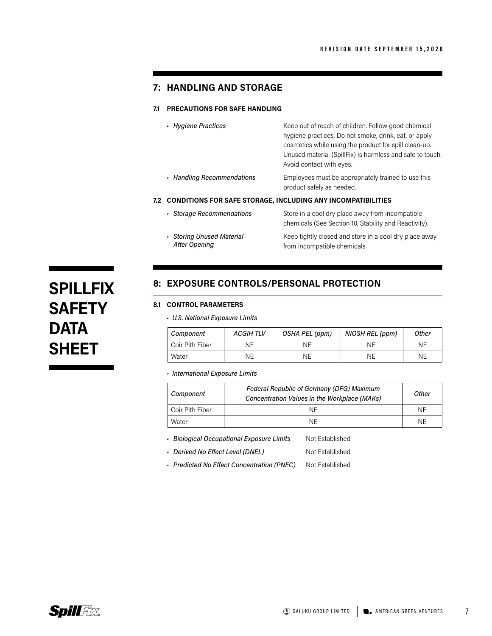### **7: HANDLING AND STORAGE**

#### **7.1 PRECAUTIONS FOR SAFE HANDLING**

| • Hygiene Practices                                              | Keep out of reach of children. Follow good chemical<br>hygiene practices. Do not smoke, drink, eat, or apply<br>cosmetics while using the product for spill clean-up.<br>Unused material (SpillFix) is harmless and safe to touch.<br>Avoid contact with eyes. |
|------------------------------------------------------------------|----------------------------------------------------------------------------------------------------------------------------------------------------------------------------------------------------------------------------------------------------------------|
| Handling Recommendations                                         | Employees must be appropriately trained to use this<br>product safely as needed.                                                                                                                                                                               |
| 7.2 CONDITIONS FOR SAFE STORAGE, INCLUDING ANY INCOMPATIBILITIES |                                                                                                                                                                                                                                                                |
| · Storage Recommendations                                        | Store in a cool dry place away from incompatible<br>chemicals (See Section 10, Stability and Reactivity).                                                                                                                                                      |
| • Storing Unused Material<br><b>After Opening</b>                | Keep tightly closed and store in a cool dry place away<br>from incompatible chemicals.                                                                                                                                                                         |

# **SPILLFIX SAFETY DATA SHEET**

# **8: EXPOSURE CONTROLS/PERSONAL PROTECTION**

### **8.1 CONTROL PARAMETERS**

*• U.S. National Exposure Limits*

| Component       | <b>ACGIHTLV</b> | OSHA PEL (ppm) | NIOSH REL (ppm) | Other |
|-----------------|-----------------|----------------|-----------------|-------|
| Coir Pith Fiber | ΝE              | ΝE             | ΝE              | ΝE    |
| Water           | ΝE              | ΝE             | ΝE              | ΝE    |

*• International Exposure Limits*

| Component       | <b>Federal Republic of Germany (DFG) Maximum</b><br>Concentration Values in the Workplace (MAKs) | Other |
|-----------------|--------------------------------------------------------------------------------------------------|-------|
| Coir Pith Fiber | NF.                                                                                              | ΝF    |
| Water           | NF                                                                                               | ΝF    |

**· Biological Occupational Exposure Limits** Not Established

**· Derived No Effect Level (DNEL)** Not Established

**· Predicted No Effect Concentration (PNEC)** Not Established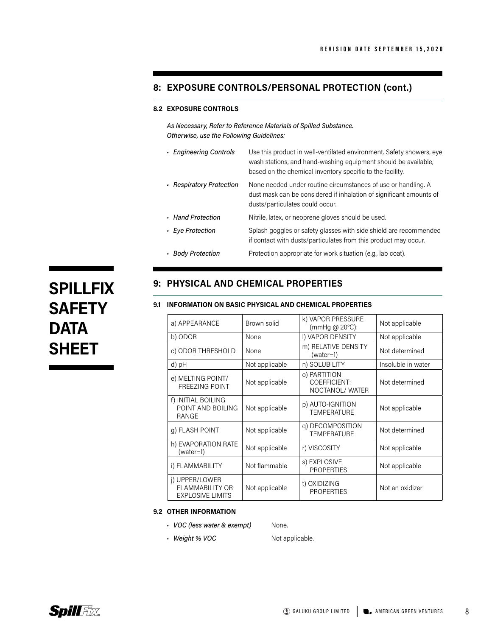# **8: EXPOSURE CONTROLS/PERSONAL PROTECTION (cont.)**

#### **8.2 EXPOSURE CONTROLS**

 *As Necessary, Refer to Reference Materials of Spilled Substance. Otherwise, use the Following Guidelines:*

| - Engineering Controls   | Use this product in well-ventilated environment. Safety showers, eye<br>wash stations, and hand-washing equipment should be available,<br>based on the chemical inventory specific to the facility. |
|--------------------------|-----------------------------------------------------------------------------------------------------------------------------------------------------------------------------------------------------|
| • Respiratory Protection | None needed under routine circumstances of use or handling. A<br>dust mask can be considered if inhalation of significant amounts of<br>dusts/particulates could occur.                             |
| Hand Protection          | Nitrile, latex, or neoprene gloves should be used.                                                                                                                                                  |
| • Eye Protection         | Splash goggles or safety glasses with side shield are recommended<br>if contact with dusts/particulates from this product may occur.                                                                |
|                          |                                                                                                                                                                                                     |

• Body Protection **Protection appropriate for work situation (e.g., lab coat).** 

# **SPILLFIX SAFETY DATA SHEET**

# **9: PHYSICAL AND CHEMICAL PROPERTIES**

#### **9.1 INFORMATION ON BASIC PHYSICAL AND CHEMICAL PROPERTIES**

| a) APPEARANCE                                                       | Brown solid    | k) VAPOR PRESSURE<br>(mmHg @ $20^{\circ}$ C):  | Not applicable     |
|---------------------------------------------------------------------|----------------|------------------------------------------------|--------------------|
| b) ODOR                                                             | None           | I) VAPOR DENSITY                               | Not applicable     |
| c) ODOR THRESHOLD                                                   | None           | m) RELATIVE DENSITY<br>$(water=1)$             | Not determined     |
| d) pH                                                               | Not applicable | n) SOLUBILITY                                  | Insoluble in water |
| e) MELTING POINT/<br><b>FREEZING POINT</b>                          | Not applicable | o) PARTITION<br>COEFFICIENT:<br>NOCTANOL/WATER | Not determined     |
| f) INITIAL BOILING<br>POINT AND BOILING<br>RANGE                    | Not applicable | p) AUTO-IGNITION<br><b>TEMPERATURE</b>         | Not applicable     |
| g) FLASH POINT                                                      | Not applicable | q) DECOMPOSITION<br><b>TEMPERATURE</b>         | Not determined     |
| h) EVAPORATION RATE<br>$(water=1)$                                  | Not applicable | r) VISCOSITY                                   | Not applicable     |
| i) FLAMMABILITY                                                     | Not flammable  | s) EXPLOSIVE<br><b>PROPERTIES</b>              | Not applicable     |
| i) UPPER/LOWER<br><b>FLAMMABILITY OR</b><br><b>EXPLOSIVE LIMITS</b> | Not applicable | t) OXIDIZING<br><b>PROPERTIES</b>              | Not an oxidizer    |

#### **9.2 OTHER INFORMATION**

- *VOC (less water & exempt)* None.
- **Weight % VOC** Not applicable.

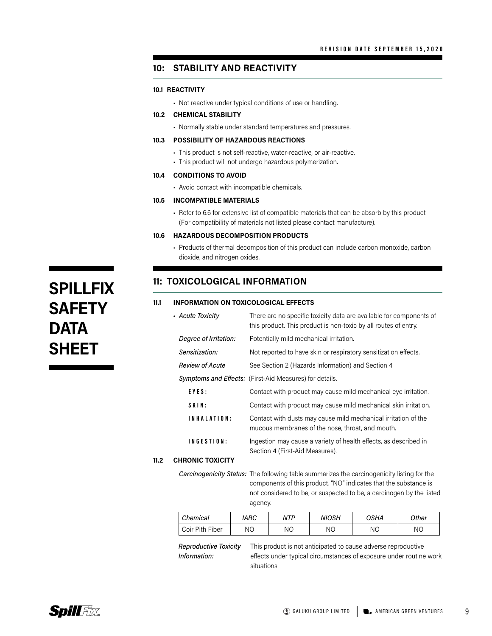# **10: STABILITY AND REACTIVITY**

#### **10.1 REACTIVITY**

- Not reactive under typical conditions of use or handling.
- **10.2 CHEMICAL STABILITY**
	- Normally stable under standard temperatures and pressures.

#### **10.3 POSSIBILITY OF HAZARDOUS REACTIONS**

- This product is not self-reactive, water-reactive, or air-reactive.
- This product will not undergo hazardous polymerization.

#### **10.4 CONDITIONS TO AVOID**

• Avoid contact with incompatible chemicals.

#### **10.5 INCOMPATIBLE MATERIALS**

• Refer to 6.6 for extensive list of compatible materials that can be absorb by this product (For compatibility of materials not listed please contact manufacture).

#### **10.6 HAZARDOUS DECOMPOSITION PRODUCTS**

• Products of thermal decomposition of this product can include carbon monoxide, carbon dioxide, and nitrogen oxides.

# **11: TOXICOLOGICAL INFORMATION**

#### **11.1 INFORMATION ON TOXICOLOGICAL EFFECTS**

|      | - Acute Toxicity        | There are no specific toxicity data are available for components of<br>this product. This product is non-toxic by all routes of entry. |
|------|-------------------------|----------------------------------------------------------------------------------------------------------------------------------------|
|      | Degree of Irritation:   | Potentially mild mechanical irritation.                                                                                                |
|      | Sensitization:          | Not reported to have skin or respiratory sensitization effects.                                                                        |
|      | <b>Review of Acute</b>  | See Section 2 (Hazards Information) and Section 4                                                                                      |
|      |                         | <b>Symptoms and Effects:</b> (First-Aid Measures) for details.                                                                         |
|      | EYES:                   | Contact with product may cause mild mechanical eye irritation.                                                                         |
|      | SKIN:                   | Contact with product may cause mild mechanical skin irritation.                                                                        |
|      | INHALATION:             | Contact with dusts may cause mild mechanical irritation of the<br>mucous membranes of the nose, throat, and mouth.                     |
|      | INGESTION:              | Ingestion may cause a variety of health effects, as described in<br>Section 4 (First-Aid Measures).                                    |
| 11.2 | <b>CHRONIC TOXICITY</b> |                                                                                                                                        |

*Carcinogenicity Status:* The following table summarizes the carcinogenicity listing for the components of this product. "NO" indicates that the substance is not considered to be, or suspected to be, a carcinogen by the listed agency.

| Chemical        | <i><b>IARC</b></i> | <b>NTP</b> | NIOSH | OSHA | Other     |
|-----------------|--------------------|------------|-------|------|-----------|
| Coir Pith Fiber | NΟ                 | NΟ         | ΝO    | NΟ   | <b>NO</b> |

**11.2** 

*Reproductive Toxicity* This product is not anticipated to cause adverse reproductive *Information:* effects under typical circumstances of exposure under routine work situations.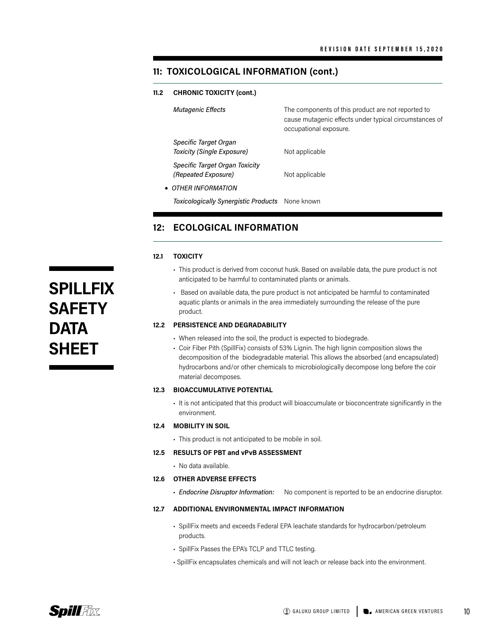# **11: TOXICOLOGICAL INFORMATION (cont.)**

#### **11.2 CHRONIC TOXICITY (cont.)**

| <b>Mutagenic Effects</b>                              | The components of this product are not reported to<br>cause mutagenic effects under typical circumstances of<br>occupational exposure. |
|-------------------------------------------------------|----------------------------------------------------------------------------------------------------------------------------------------|
| Specific Target Organ<br>Toxicity (Single Exposure)   | Not applicable                                                                                                                         |
| Specific Target Organ Toxicity<br>(Repeated Exposure) | Not applicable                                                                                                                         |
| • OTHER INFORMATION                                   |                                                                                                                                        |
| Toxicologically Synergistic Products None known       |                                                                                                                                        |

# **12: ECOLOGICAL INFORMATION**

#### **12.1 TOXICITY**

- This product is derived from coconut husk. Based on available data, the pure product is not anticipated to be harmful to contaminated plants or animals.
- Based on available data, the pure product is not anticipated be harmful to contaminated aquatic plants or animals in the area immediately surrounding the release of the pure product.

#### **12.2 PERSISTENCE AND DEGRADABILITY**

- When released into the soil, the product is expected to biodegrade.
- Coir Fiber Pith (SpillFix) consists of 53% Lignin. The high lignin composition slows the decomposition of the biodegradable material. This allows the absorbed (and encapsulated) hydrocarbons and/or other chemicals to microbiologically decompose long before the coir material decomposes.

#### **12.3 BIOACCUMULATIVE POTENTIAL**

• It is not anticipated that this product will bioaccumulate or bioconcentrate significantly in the environment.

#### **12.4 MOBILITY IN SOIL**

• This product is not anticipated to be mobile in soil.

#### **12.5 RESULTS OF PBT and vPvB ASSESSMENT**

• No data available.

#### **12.6 OTHER ADVERSE EFFECTS**

*• Endocrine Disruptor Information:* No component is reported to be an endocrine disruptor.

#### **12.7 ADDITIONAL ENVIRONMENTAL IMPACT INFORMATION**

- SpillFix meets and exceeds Federal EPA leachate standards for hydrocarbon/petroleum products.
- SpillFix Passes the EPA's TCLP and TTLC testing.
- SpillFix encapsulates chemicals and will not leach or release back into the environment.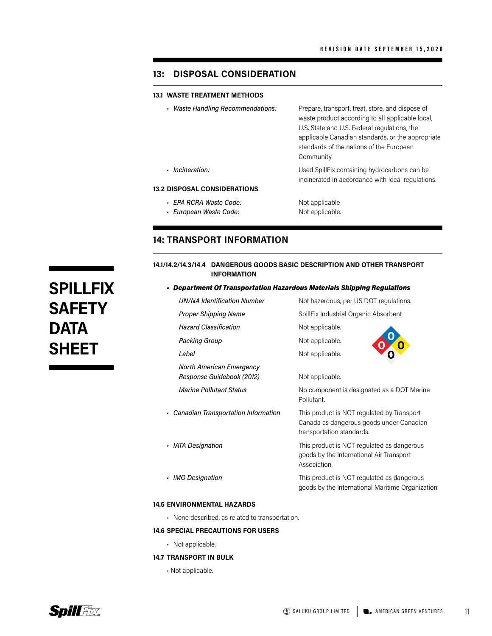# **13: DISPOSAL CONSIDERATION**

#### **13.1 WASTE TREATMENT METHODS**

*• Waste Handling Recommendations:* Prepare, transport, treat, store, and dispose of waste product according to all applicable local, U.S. State and U.S. Federal regulations, the applicable Canadian standards, or the appropriate standards of the nations of the European Community.

*• Incineration:* Used SpillFix containing hydrocarbons can be

#### **13.2 DISPOSAL CONSIDERATIONS**

- **· EPA RCRA Waste Code:** Not applicable
- *European Waste Code:* Not applicable.

# incinerated in accordance with local regulations.

# **14: TRANSPORT INFORMATION**

#### **14.1/14.2/14.3/14.4 DANGEROUS GOODS BASIC DESCRIPTION AND OTHER TRANSPORT INFORMATION**

#### *• Department Of Transportation Hazardous Materials Shipping Regulations*

|                | <b>UN/NA Identification Number</b>                    | Not hazardous, per US DOT regulations.                                                                              |
|----------------|-------------------------------------------------------|---------------------------------------------------------------------------------------------------------------------|
|                | <b>Proper Shipping Name</b>                           | SpillFix Industrial Organic Absorbent                                                                               |
|                | <b>Hazard Classification</b>                          | Not applicable.                                                                                                     |
|                | <b>Packing Group</b>                                  | Not applicable.                                                                                                     |
|                | Label                                                 | Not applicable.                                                                                                     |
|                | North American Emergency<br>Response Guidebook (2012) | Not applicable.                                                                                                     |
|                | <b>Marine Pollutant Status</b>                        | No component is designated as a DOT Marine<br>Pollutant.                                                            |
|                | • Canadian Transportation Information                 | This product is NOT regulated by Transport<br>Canada as dangerous goods under Canadian<br>transportation standards. |
|                | · IATA Designation                                    | This product is NOT regulated as dangerous<br>goods by the International Air Transport<br>Association.              |
| $\blacksquare$ | <b>IMO Designation</b>                                | This product is NOT regulated as dangerous<br>goods by the International Maritime Organization.                     |
|                |                                                       |                                                                                                                     |

#### **14.5 ENVIRONMENTAL HAZARDS**

• None described, as related to transportation.

#### **14.6 SPECIAL PRECAUTIONS FOR USERS**

- Not applicable.
- **14.7 TRANSPORT IN BULK**
	- Not applicable.

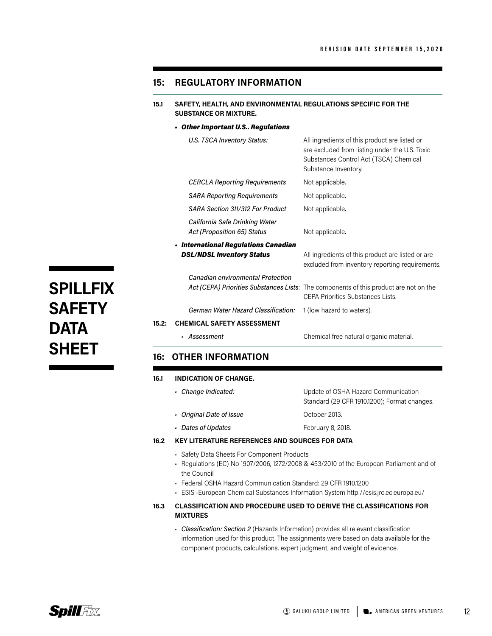### **15: REGULATORY INFORMATION**

**15.1 SAFETY, HEALTH, AND ENVIRONMENTAL REGULATIONS SPECIFIC FOR THE SUBSTANCE OR MIXTURE.**

#### *• Other Important U.S.. Regulations*

|       | U.S. TSCA Inventory Status:                                              | All ingredients of this product are listed or<br>are excluded from listing under the U.S. Toxic<br>Substances Control Act (TSCA) Chemical<br>Substance Inventory. |
|-------|--------------------------------------------------------------------------|-------------------------------------------------------------------------------------------------------------------------------------------------------------------|
|       | <b>CERCLA Reporting Requirements</b>                                     | Not applicable.                                                                                                                                                   |
|       | <b>SARA Reporting Requirements</b>                                       | Not applicable.                                                                                                                                                   |
|       | SARA Section 311/312 For Product                                         | Not applicable.                                                                                                                                                   |
|       | California Safe Drinking Water<br>Act (Proposition 65) Status            | Not applicable.                                                                                                                                                   |
|       | • International Regulations Canadian<br><b>DSL/NDSL Inventory Status</b> | All ingredients of this product are listed or are<br>excluded from inventory reporting requirements.                                                              |
|       | Canadian environmental Protection                                        | Act (CEPA) Priorities Substances Lists: The components of this product are not on the<br>CEPA Priorities Substances Lists.                                        |
|       | German Water Hazard Classification:                                      | 1 (low hazard to waters).                                                                                                                                         |
| 15.2: | <b>CHEMICAL SAFETY ASSESSMENT</b>                                        |                                                                                                                                                                   |
|       | - Assessment                                                             | Chemical free natural organic material.                                                                                                                           |

# **16: OTHER INFORMATION**

#### **16.1 INDICATION OF CHANGE.**

*• Change Indicated:* Update of OSHA Hazard Communication Standard (29 CFR 1910.1200); Format changes. *• Original Date of Issue* **by Community Community** October 2013. *• Dates of Updates* February 8, 2018.

#### **16.2 KEY LITERATURE REFERENCES AND SOURCES FOR DATA**

- Safety Data Sheets For Component Products
- Regulations (EC) No 1907/2006, 1272/2008 & 453/2010 of the European Parliament and of the Council
- Federal OSHA Hazard Communication Standard: 29 CFR 1910.1200
- ESIS -European Chemical Substances Information System http://esis.jrc.ec.europa.eu/
- **16.3 CLASSIFICATION AND PROCEDURE USED TO DERIVE THE CLASSIFICATIONS FOR MIXTURES**
	- *Classification: Section 2* (Hazards Information) provides all relevant classification information used for this product. The assignments were based on data available for the component products, calculations, expert judgment, and weight of evidence.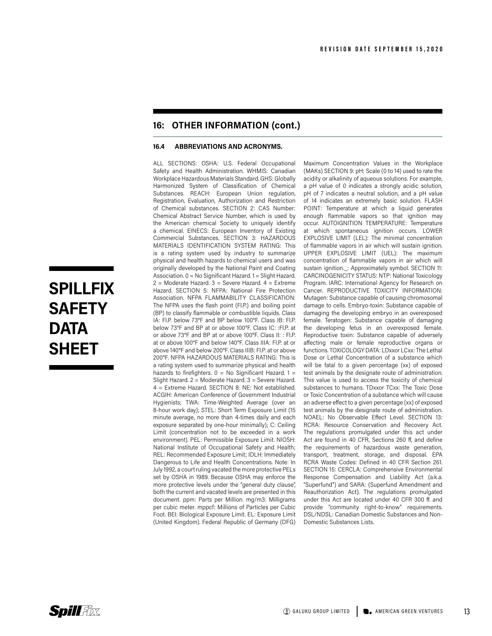# **16: OTHER INFORMATION (cont.)**

#### **16.4 ABBREVIATIONS AND ACRONYMS.**

ALL SECTIONS: OSHA: U.S. Federal Occupational Safety and Health Administration. WHMIS: Canadian Workplace Hazardous Materials Standard. GHS: Globally Harmonized System of Classification of Chemical Substances. REACH: European Union regulation, Registration, Evaluation, Authorization and Restriction of Chemical substances. SECTION 2: CAS Number: Chemical Abstract Service Number, which is used by the American chemical Society to uniquely identify a chemical. EINECS: European Inventory of Existing Commercial Substances. SECTION 3: HAZARDOUS MATERIALS IDENTIFICATION SYSTEM RATING: This is a rating system used by industry to summarize physical and health hazards to chemical users and was originally developed by the National Paint and Coating Association. 0 = No Significant Hazard. 1 = Slight Hazard.  $2$  = Moderate Hazard. 3 = Severe Hazard. 4 = Extreme Hazard. SECTION 5: NFPA: National Fire Protection Association. NFPA FLAMMABILITY CLASSIFICATION: The NFPA uses the flash point (Fl.P.) and boiling point (BP) to classify flammable or combustible liquids. Class IA: Fl.P. below 73°F and BP below 100°F. Class IB: Fl.P. below 73°F and BP at or above 100°F. Class IC: :Fl.P. at or above 73°F and BP at or above 100°F. Class II: : Fl.P. at or above 100°F and below 140°F. Class IIIA: Fl.P. at or above 140°F and below 200°F. Class IIIB: Fl.P. at or above 200°F. NFPA HAZARDOUS MATERIALS RATING: This is a rating system used to summarize physical and health hazards to firefighters.  $0 = No$  Significant Hazard.  $1 =$ Slight Hazard. 2 = Moderate Hazard. 3 = Severe Hazard. 4 = Extreme Hazard. SECTION 8: NE: Not established. ACGIH: American Conference of Government Industrial Hygienists; TWA: Time-Weighted Average (over an 8-hour work day); STEL: Short Term Exposure Limit (15 minute average, no more than 4-times daily and each exposure separated by one-hour minimally); C: Ceiling Limit (concentration not to be exceeded in a work environment). PEL: Permissible Exposure Limit. NIOSH: National Institute of Occupational Safety and Health; REL: Recommended Exposure Limit; IDLH: Immediately Dangerous to Life and Health Concentrations. Note: In July 1992, a court ruling vacated the more protective PELs set by OSHA in 1989. Because OSHA may enforce the more protective levels under the "general duty clause", both the current and vacated levels are presented in this document. ppm: Parts per Million. mg/m3: Milligrams per cubic meter. mppcf: Millions of Particles per Cubic Foot. BEI: Biological Exposure Limit. EL: Exposure Limit (United Kingdom). Federal Republic of Germany (DFG) Maximum Concentration Values in the Workplace (MAKs) SECTION 9: pH: Scale (0 to 14) used to rate the acidity or alkalinity of aqueous solutions. For example, a pH value of 0 indicates a strongly acidic solution, pH of 7 indicates a neutral solution, and a pH value of 14 indicates an extremely basic solution. FLASH POINT: Temperature at which a liquid generates enough flammable vapors so that ignition may occur. AUTOIGNITION TEMPERATURE: Temperature at which spontaneous ignition occurs. LOWER EXPLOSIVE LIMIT (LEL): The minimal concentration of flammable vapors in air which will sustain ignition. UPPER EXPLOSIVE LIMIT (UEL): The maximum concentration of flammable vapors in air which will sustain ignition.\_: Approximately symbol. SECTION 11: CARCINOGENICITY STATUS: NTP: National Toxicology Program. IARC: International Agency for Research on Cancer. REPRODUCTIVE TOXICITY INFORMATION: Mutagen: Substance capable of causing chromosomal damage to cells. Embryo-toxin: Substance capable of damaging the developing embryo in an overexposed female. Teratogen: Substance capable of damaging the developing fetus in an overexposed female. Reproductive toxin: Substance capable of adversely affecting male or female reproductive organs or functions. TOXICOLOGY DATA: LDxxor LCxx: The Lethal Dose or Lethal Concentration of a substance which will be fatal to a given percentage (xx) of exposed test animals by the designate route of administration. This value is used to access the toxicity of chemical substances to humans. TDxxor TCxx: The Toxic Dose or Toxic Concentration of a substance which will cause an adverse effect to a given percentage (xx) of exposed test animals by the designate route of administration. NOAEL: No Observable Effect Level. SECTION 13: RCRA: Resource Conservation and Recovery Act. The regulations promulgated under this act under Act are found in 40 CFR, Sections 260 ff, and define the requirements of hazardous waste generation, transport, treatment, storage, and disposal. EPA RCRA Waste Codes: Defined in 40 CFR Section 261. SECTION 15: CERCLA: Comprehensive Environmental Response Compensation and Liability Act (a.k.a. "Superfund") and SARA: (Superfund Amendment and Reauthorization Act). The regulations promulgated under this Act are located under 40 CFR 300 ff. and provide "community right-to-know" requirements. DSL/NDSL: Canadian Domestic Substances and Non-Domestic Substances Lists.